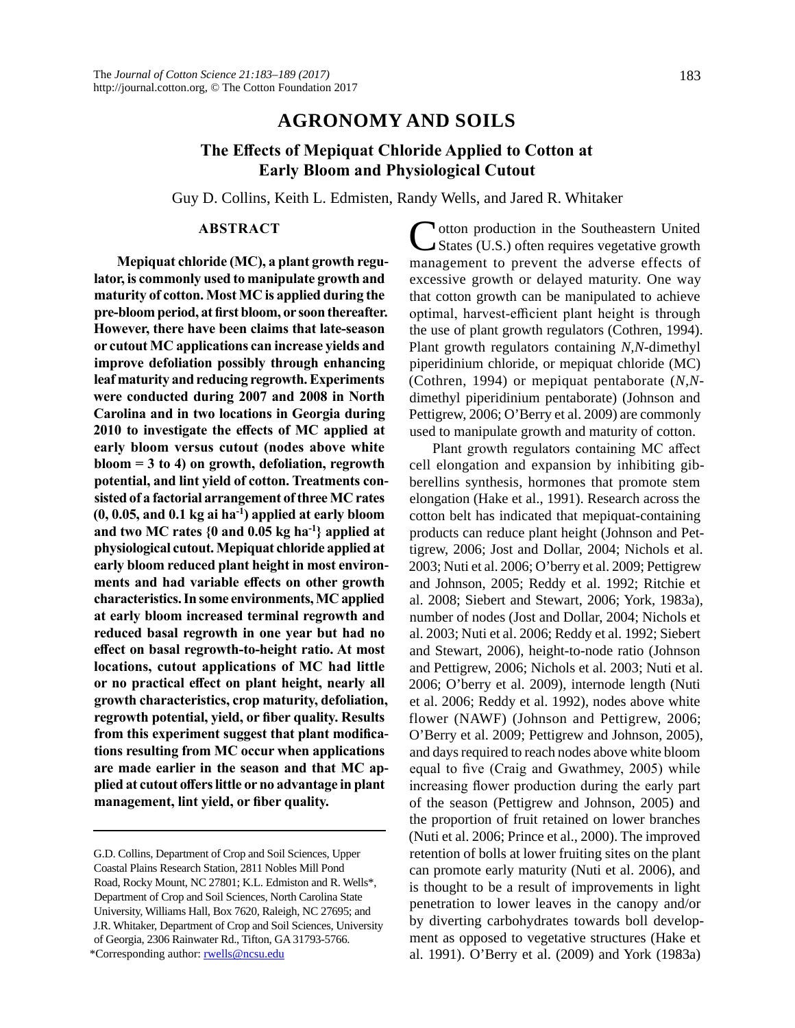## **AGRONOMY AND SOILS**

# **The Effects of Mepiquat Chloride Applied to Cotton at Early Bloom and Physiological Cutout**

Guy D. Collins, Keith L. Edmisten, Randy Wells, and Jared R. Whitaker

### **ABSTRACT**

**Mepiquat chloride (MC), a plant growth regulator, is commonly used to manipulate growth and maturity of cotton. Most MC is applied during the pre-bloom period, at first bloom, or soon thereafter. However, there have been claims that late-season or cutout MC applications can increase yields and improve defoliation possibly through enhancing leaf maturity and reducing regrowth. Experiments were conducted during 2007 and 2008 in North Carolina and in two locations in Georgia during 2010 to investigate the effects of MC applied at early bloom versus cutout (nodes above white bloom = 3 to 4) on growth, defoliation, regrowth potential, and lint yield of cotton. Treatments consisted of a factorial arrangement of three MC rates (0, 0.05, and 0.1 kg ai ha-1) applied at early bloom and two MC rates {0 and 0.05 kg ha-1} applied at physiological cutout. Mepiquat chloride applied at early bloom reduced plant height in most environments and had variable effects on other growth characteristics. In some environments, MC applied at early bloom increased terminal regrowth and reduced basal regrowth in one year but had no effect on basal regrowth-to-height ratio. At most locations, cutout applications of MC had little or no practical effect on plant height, nearly all growth characteristics, crop maturity, defoliation, regrowth potential, yield, or fiber quality. Results from this experiment suggest that plant modifications resulting from MC occur when applications are made earlier in the season and that MC applied at cutout offers little or no advantage in plant management, lint yield, or fiber quality.**

**N**otton production in the Southeastern United States (U.S.) often requires vegetative growth management to prevent the adverse effects of excessive growth or delayed maturity. One way that cotton growth can be manipulated to achieve optimal, harvest-efficient plant height is through the use of plant growth regulators (Cothren, 1994). Plant growth regulators containing *N,N*-dimethyl piperidinium chloride, or mepiquat chloride (MC) (Cothren, 1994) or mepiquat pentaborate (*N,N*dimethyl piperidinium pentaborate) (Johnson and Pettigrew, 2006; O'Berry et al. 2009) are commonly used to manipulate growth and maturity of cotton.

Plant growth regulators containing MC affect cell elongation and expansion by inhibiting gibberellins synthesis, hormones that promote stem elongation (Hake et al., 1991). Research across the cotton belt has indicated that mepiquat-containing products can reduce plant height (Johnson and Pettigrew, 2006; Jost and Dollar, 2004; Nichols et al. 2003; Nuti et al. 2006; O'berry et al. 2009; Pettigrew and Johnson, 2005; Reddy et al. 1992; Ritchie et al. 2008; Siebert and Stewart, 2006; York, 1983a), number of nodes (Jost and Dollar, 2004; Nichols et al. 2003; Nuti et al. 2006; Reddy et al. 1992; Siebert and Stewart, 2006), height-to-node ratio (Johnson and Pettigrew, 2006; Nichols et al. 2003; Nuti et al. 2006; O'berry et al. 2009), internode length (Nuti et al. 2006; Reddy et al. 1992), nodes above white flower (NAWF) (Johnson and Pettigrew, 2006; O'Berry et al. 2009; Pettigrew and Johnson, 2005), and days required to reach nodes above white bloom equal to five (Craig and Gwathmey, 2005) while increasing flower production during the early part of the season (Pettigrew and Johnson, 2005) and the proportion of fruit retained on lower branches (Nuti et al. 2006; Prince et al., 2000). The improved retention of bolls at lower fruiting sites on the plant can promote early maturity (Nuti et al. 2006), and is thought to be a result of improvements in light penetration to lower leaves in the canopy and/or by diverting carbohydrates towards boll development as opposed to vegetative structures (Hake et al. 1991). O'Berry et al. (2009) and York (1983a)

G.D. Collins, Department of Crop and Soil Sciences, Upper Coastal Plains Research Station, 2811 Nobles Mill Pond Road, Rocky Mount, NC 27801; K.L. Edmiston and R. Wells\*, Department of Crop and Soil Sciences, North Carolina State University, Williams Hall, Box 7620, Raleigh, NC 27695; and J.R. Whitaker, Department of Crop and Soil Sciences, University of Georgia, 2306 Rainwater Rd., Tifton, GA 31793-5766. \*Corresponding author: [rwells@ncsu.edu](mailto:rwells@ncsu.edu)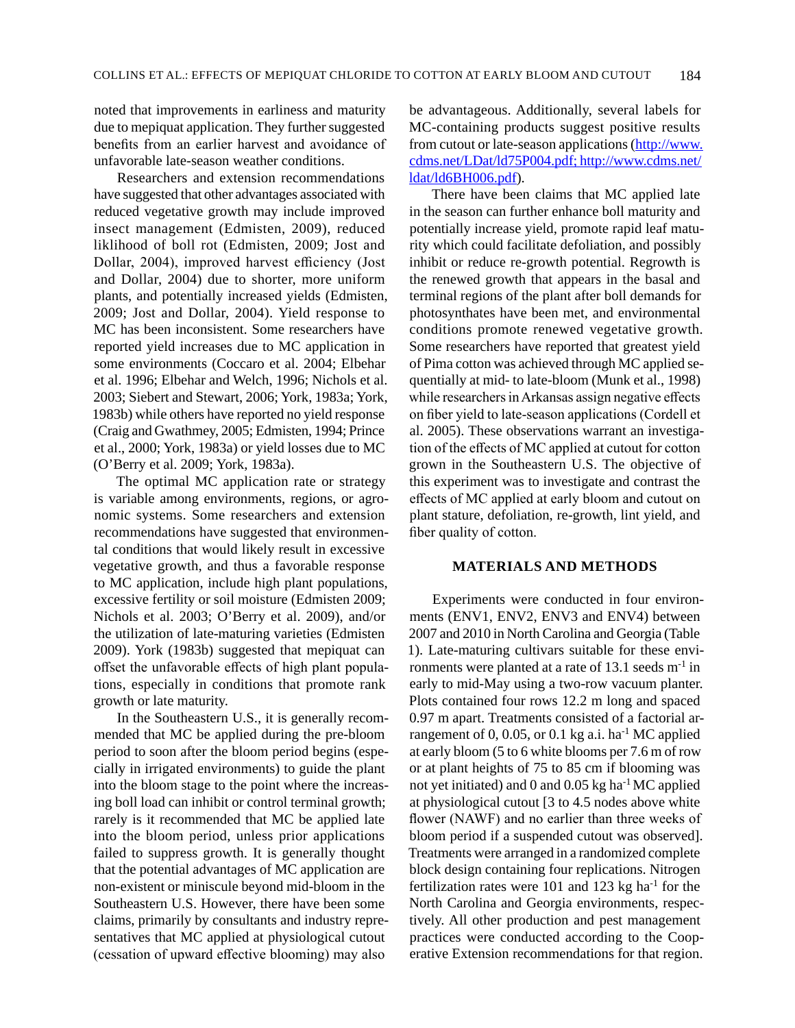noted that improvements in earliness and maturity due to mepiquat application. They further suggested benefits from an earlier harvest and avoidance of unfavorable late-season weather conditions.

Researchers and extension recommendations have suggested that other advantages associated with reduced vegetative growth may include improved insect management (Edmisten, 2009), reduced liklihood of boll rot (Edmisten, 2009; Jost and Dollar, 2004), improved harvest efficiency (Jost and Dollar, 2004) due to shorter, more uniform plants, and potentially increased yields (Edmisten, 2009; Jost and Dollar, 2004). Yield response to MC has been inconsistent. Some researchers have reported yield increases due to MC application in some environments (Coccaro et al. 2004; Elbehar et al. 1996; Elbehar and Welch, 1996; Nichols et al. 2003; Siebert and Stewart, 2006; York, 1983a; York, 1983b) while others have reported no yield response (Craig and Gwathmey, 2005; Edmisten, 1994; Prince et al., 2000; York, 1983a) or yield losses due to MC (O'Berry et al. 2009; York, 1983a).

The optimal MC application rate or strategy is variable among environments, regions, or agronomic systems. Some researchers and extension recommendations have suggested that environmental conditions that would likely result in excessive vegetative growth, and thus a favorable response to MC application, include high plant populations, excessive fertility or soil moisture (Edmisten 2009; Nichols et al. 2003; O'Berry et al. 2009), and/or the utilization of late-maturing varieties (Edmisten 2009). York (1983b) suggested that mepiquat can offset the unfavorable effects of high plant populations, especially in conditions that promote rank growth or late maturity.

In the Southeastern U.S., it is generally recommended that MC be applied during the pre-bloom period to soon after the bloom period begins (especially in irrigated environments) to guide the plant into the bloom stage to the point where the increasing boll load can inhibit or control terminal growth; rarely is it recommended that MC be applied late into the bloom period, unless prior applications failed to suppress growth. It is generally thought that the potential advantages of MC application are non-existent or miniscule beyond mid-bloom in the Southeastern U.S. However, there have been some claims, primarily by consultants and industry representatives that MC applied at physiological cutout (cessation of upward effective blooming) may also

be advantageous. Additionally, several labels for MC-containing products suggest positive results from cutout or late-season applications ([http://www.](http://www.cdms.net/LDat/ld75P004.pdf;%20http:/www.cdms.net/ldat/ld6BH006.pdf) [cdms.net/LDat/ld75P004.pdf; http://www.cdms.net/](http://www.cdms.net/LDat/ld75P004.pdf;%20http:/www.cdms.net/ldat/ld6BH006.pdf) [ldat/ld6BH006.pdf\)](http://www.cdms.net/LDat/ld75P004.pdf;%20http:/www.cdms.net/ldat/ld6BH006.pdf).

There have been claims that MC applied late in the season can further enhance boll maturity and potentially increase yield, promote rapid leaf maturity which could facilitate defoliation, and possibly inhibit or reduce re-growth potential. Regrowth is the renewed growth that appears in the basal and terminal regions of the plant after boll demands for photosynthates have been met, and environmental conditions promote renewed vegetative growth. Some researchers have reported that greatest yield of Pima cotton was achieved through MC applied sequentially at mid- to late-bloom (Munk et al., 1998) while researchers in Arkansas assign negative effects on fiber yield to late-season applications (Cordell et al. 2005). These observations warrant an investigation of the effects of MC applied at cutout for cotton grown in the Southeastern U.S. The objective of this experiment was to investigate and contrast the effects of MC applied at early bloom and cutout on plant stature, defoliation, re-growth, lint yield, and fiber quality of cotton.

#### **MATERIALS AND METHODS**

Experiments were conducted in four environments (ENV1, ENV2, ENV3 and ENV4) between 2007 and 2010 in North Carolina and Georgia (Table 1). Late-maturing cultivars suitable for these environments were planted at a rate of  $13.1$  seeds m<sup>-1</sup> in early to mid-May using a two-row vacuum planter. Plots contained four rows 12.2 m long and spaced 0.97 m apart. Treatments consisted of a factorial arrangement of 0, 0.05, or 0.1 kg a.i. ha<sup>-1</sup> MC applied at early bloom (5 to 6 white blooms per 7.6 m of row or at plant heights of 75 to 85 cm if blooming was not yet initiated) and  $0$  and  $0.05$  kg ha<sup>-1</sup> MC applied at physiological cutout [3 to 4.5 nodes above white flower (NAWF) and no earlier than three weeks of bloom period if a suspended cutout was observed]. Treatments were arranged in a randomized complete block design containing four replications. Nitrogen fertilization rates were 101 and 123 kg ha<sup>-1</sup> for the North Carolina and Georgia environments, respectively. All other production and pest management practices were conducted according to the Cooperative Extension recommendations for that region.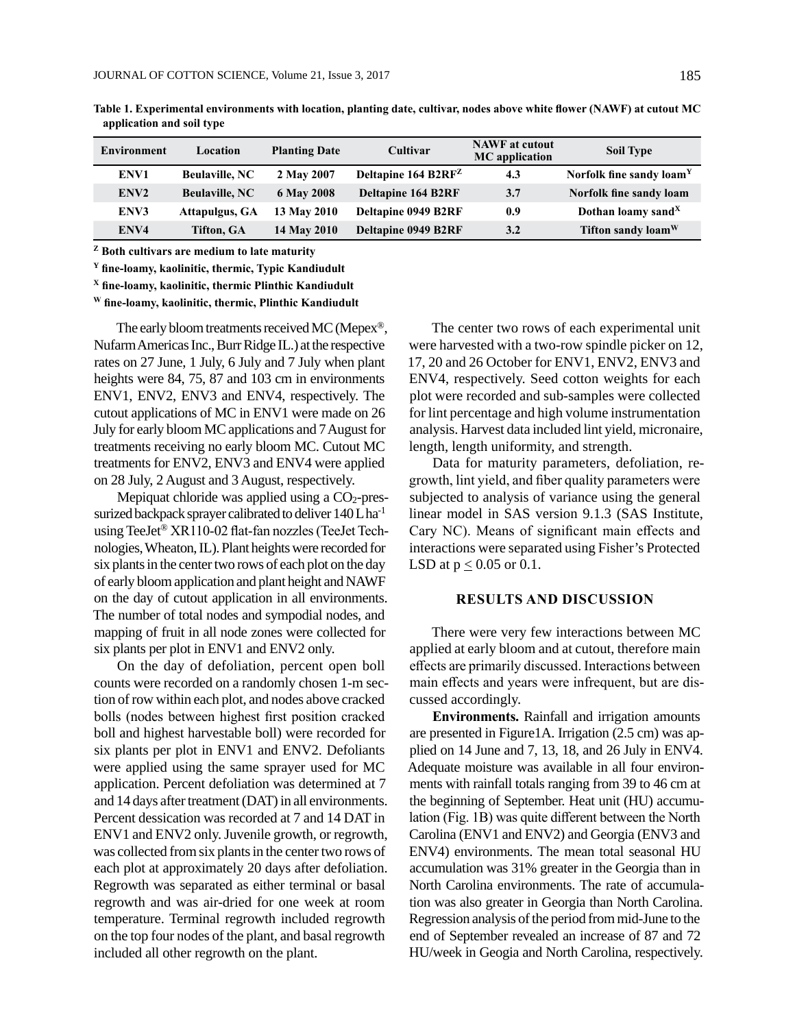| Environment      | Location              | <b>Planting Date</b> | Cultivar                        | <b>NAWF</b> at cutout<br><b>MC</b> application | <b>Soil Type</b>                     |
|------------------|-----------------------|----------------------|---------------------------------|------------------------------------------------|--------------------------------------|
| ENV1             | <b>Beulaville, NC</b> | 2 May 2007           | Deltapine 164 B2RF <sup>Z</sup> | 4.3                                            | Norfolk fine sandy loam <sup>Y</sup> |
| ENV <sub>2</sub> | <b>Beulaville, NC</b> | 6 May 2008           | <b>Deltapine 164 B2RF</b>       | 3.7                                            | Norfolk fine sandy loam              |
| ENV3             | Attapulgus, GA        | 13 May 2010          | <b>Deltapine 0949 B2RF</b>      | 0.9                                            | Dothan loamy sand $X$                |
| ENV4             | <b>Tifton, GA</b>     | 14 May 2010          | <b>Deltapine 0949 B2RF</b>      | 3.2                                            | Tifton sandy loam <sup>W</sup>       |

**Table 1. Experimental environments with location, planting date, cultivar, nodes above white flower (NAWF) at cutout MC application and soil type**

**<sup>Z</sup> Both cultivars are medium to late maturity**

**<sup>Y</sup> fine-loamy, kaolinitic, thermic, Typic Kandiudult**

**<sup>X</sup> fine-loamy, kaolinitic, thermic Plinthic Kandiudult**

**W fine-loamy, kaolinitic, thermic, Plinthic Kandiudult**

The early bloom treatments received MC (Mepex®, Nufarm Americas Inc., Burr Ridge IL.) at the respective rates on 27 June, 1 July, 6 July and 7 July when plant heights were 84, 75, 87 and 103 cm in environments ENV1, ENV2, ENV3 and ENV4, respectively. The cutout applications of MC in ENV1 were made on 26 July for early bloom MC applications and 7 August for treatments receiving no early bloom MC. Cutout MC treatments for ENV2, ENV3 and ENV4 were applied on 28 July, 2 August and 3 August, respectively.

Mepiquat chloride was applied using a  $CO<sub>2</sub>$ -pressurized backpack sprayer calibrated to deliver  $140$  L ha<sup>-1</sup> using TeeJet® XR110-02 flat-fan nozzles (TeeJet Technologies, Wheaton, IL). Plant heights were recorded for six plants in the center two rows of each plot on the day of early bloom application and plant height and NAWF on the day of cutout application in all environments. The number of total nodes and sympodial nodes, and mapping of fruit in all node zones were collected for six plants per plot in ENV1 and ENV2 only.

On the day of defoliation, percent open boll counts were recorded on a randomly chosen 1-m section of row within each plot, and nodes above cracked bolls (nodes between highest first position cracked boll and highest harvestable boll) were recorded for six plants per plot in ENV1 and ENV2. Defoliants were applied using the same sprayer used for MC application. Percent defoliation was determined at 7 and 14 days after treatment (DAT) in all environments. Percent dessication was recorded at 7 and 14 DAT in ENV1 and ENV2 only. Juvenile growth, or regrowth, was collected from six plants in the center two rows of each plot at approximately 20 days after defoliation. Regrowth was separated as either terminal or basal regrowth and was air-dried for one week at room temperature. Terminal regrowth included regrowth on the top four nodes of the plant, and basal regrowth included all other regrowth on the plant.

The center two rows of each experimental unit were harvested with a two-row spindle picker on 12, 17, 20 and 26 October for ENV1, ENV2, ENV3 and ENV4, respectively. Seed cotton weights for each plot were recorded and sub-samples were collected for lint percentage and high volume instrumentation analysis. Harvest data included lint yield, micronaire, length, length uniformity, and strength.

Data for maturity parameters, defoliation, regrowth, lint yield, and fiber quality parameters were subjected to analysis of variance using the general linear model in SAS version 9.1.3 (SAS Institute, Cary NC). Means of significant main effects and interactions were separated using Fisher's Protected LSD at  $p < 0.05$  or 0.1.

#### **RESULTS AND DISCUSSION**

There were very few interactions between MC applied at early bloom and at cutout, therefore main effects are primarily discussed. Interactions between main effects and years were infrequent, but are discussed accordingly.

**Environments.** Rainfall and irrigation amounts are presented in Figure1A. Irrigation (2.5 cm) was applied on 14 June and 7, 13, 18, and 26 July in ENV4. Adequate moisture was available in all four environments with rainfall totals ranging from 39 to 46 cm at the beginning of September. Heat unit (HU) accumulation (Fig. 1B) was quite different between the North Carolina (ENV1 and ENV2) and Georgia (ENV3 and ENV4) environments. The mean total seasonal HU accumulation was 31% greater in the Georgia than in North Carolina environments. The rate of accumulation was also greater in Georgia than North Carolina. Regression analysis of the period from mid-June to the end of September revealed an increase of 87 and 72 HU/week in Geogia and North Carolina, respectively.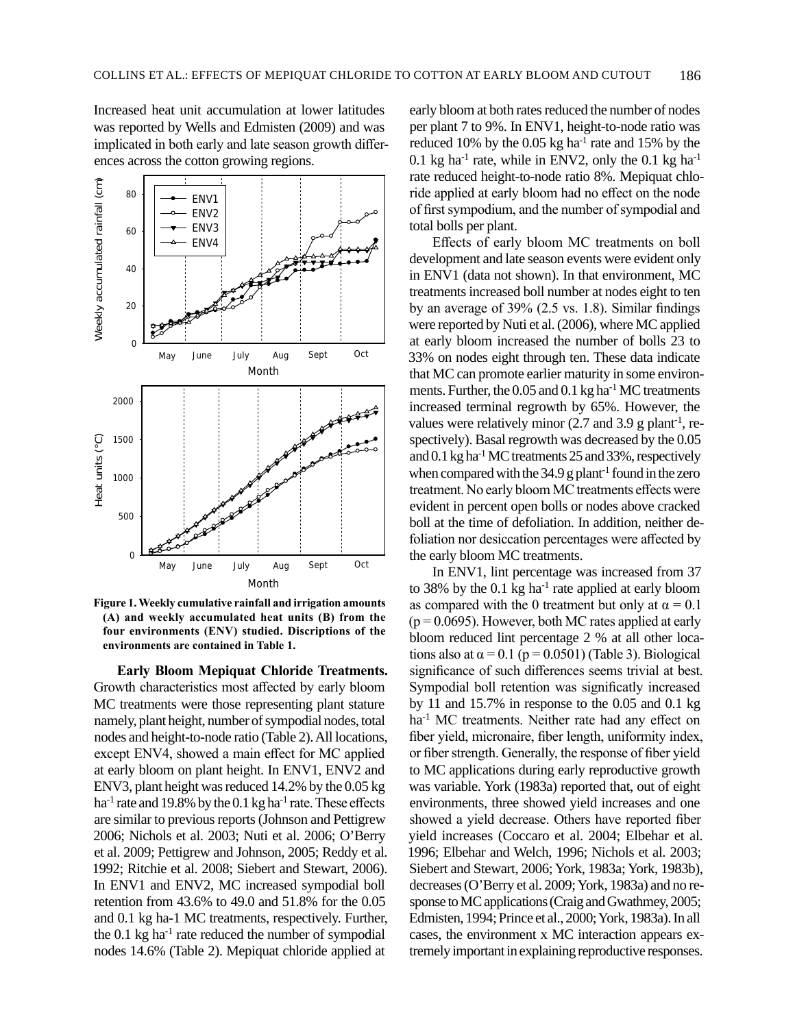Increased heat unit accumulation at lower latitudes was reported by Wells and Edmisten (2009) and was implicated in both early and late season growth differences across the cotton growing regions.



**Figure 1. Weekly cumulative rainfall and irrigation amounts (A) and weekly accumulated heat units (B) from the four environments (ENV) studied. Discriptions of the environments are contained in Table 1.**

**Early Bloom Mepiquat Chloride Treatments.**  Growth characteristics most affected by early bloom MC treatments were those representing plant stature namely, plant height, number of sympodial nodes, total nodes and height-to-node ratio (Table 2). All locations, except ENV4, showed a main effect for MC applied at early bloom on plant height. In ENV1, ENV2 and ENV3, plant height was reduced 14.2% by the 0.05 kg ha<sup>-1</sup> rate and 19.8% by the 0.1 kg ha<sup>-1</sup> rate. These effects are similar to previous reports (Johnson and Pettigrew 2006; Nichols et al. 2003; Nuti et al. 2006; O'Berry et al. 2009; Pettigrew and Johnson, 2005; Reddy et al. 1992; Ritchie et al. 2008; Siebert and Stewart, 2006). In ENV1 and ENV2, MC increased sympodial boll retention from 43.6% to 49.0 and 51.8% for the 0.05 and 0.1 kg ha-1 MC treatments, respectively. Further, the  $0.1$  kg ha<sup>-1</sup> rate reduced the number of sympodial nodes 14.6% (Table 2). Mepiquat chloride applied at

early bloom at both rates reduced the number of nodes per plant 7 to 9%. In ENV1, height-to-node ratio was reduced 10% by the 0.05 kg ha<sup>-1</sup> rate and 15% by the 0.1 kg ha<sup>-1</sup> rate, while in ENV2, only the 0.1 kg ha<sup>-1</sup> rate reduced height-to-node ratio 8%. Mepiquat chloride applied at early bloom had no effect on the node of first sympodium, and the number of sympodial and total bolls per plant.

Effects of early bloom MC treatments on boll development and late season events were evident only in ENV1 (data not shown). In that environment, MC treatments increased boll number at nodes eight to ten by an average of 39% (2.5 vs. 1.8). Similar findings were reported by Nuti et al. (2006), where MC applied at early bloom increased the number of bolls 23 to 33% on nodes eight through ten. These data indicate that MC can promote earlier maturity in some environments. Further, the  $0.05$  and  $0.1$  kg ha<sup>-1</sup> MC treatments increased terminal regrowth by 65%. However, the values were relatively minor  $(2.7 \text{ and } 3.9 \text{ g plant}^{-1})$ , respectively). Basal regrowth was decreased by the 0.05 and 0.1 kg ha-1 MC treatments 25 and 33%, respectively when compared with the  $34.9$  g plant<sup>-1</sup> found in the zero treatment. No early bloom MC treatments effects were evident in percent open bolls or nodes above cracked boll at the time of defoliation. In addition, neither defoliation nor desiccation percentages were affected by the early bloom MC treatments.

In ENV1, lint percentage was increased from 37 to 38% by the  $0.1 \text{ kg}$  ha<sup>-1</sup> rate applied at early bloom as compared with the 0 treatment but only at  $\alpha = 0.1$  $(p = 0.0695)$ . However, both MC rates applied at early bloom reduced lint percentage 2 % at all other locations also at  $\alpha = 0.1$  (p = 0.0501) (Table 3). Biological significance of such differences seems trivial at best. Sympodial boll retention was significatly increased by 11 and 15.7% in response to the 0.05 and 0.1 kg ha<sup>-1</sup> MC treatments. Neither rate had any effect on fiber yield, micronaire, fiber length, uniformity index, or fiber strength. Generally, the response of fiber yield to MC applications during early reproductive growth was variable. York (1983a) reported that, out of eight environments, three showed yield increases and one showed a yield decrease. Others have reported fiber yield increases (Coccaro et al. 2004; Elbehar et al. 1996; Elbehar and Welch, 1996; Nichols et al. 2003; Siebert and Stewart, 2006; York, 1983a; York, 1983b), decreases (O'Berry et al. 2009; York, 1983a) and no response to MC applications (Craig and Gwathmey, 2005; Edmisten, 1994; Prince et al., 2000; York, 1983a). In all cases, the environment x MC interaction appears extremely important in explaining reproductive responses.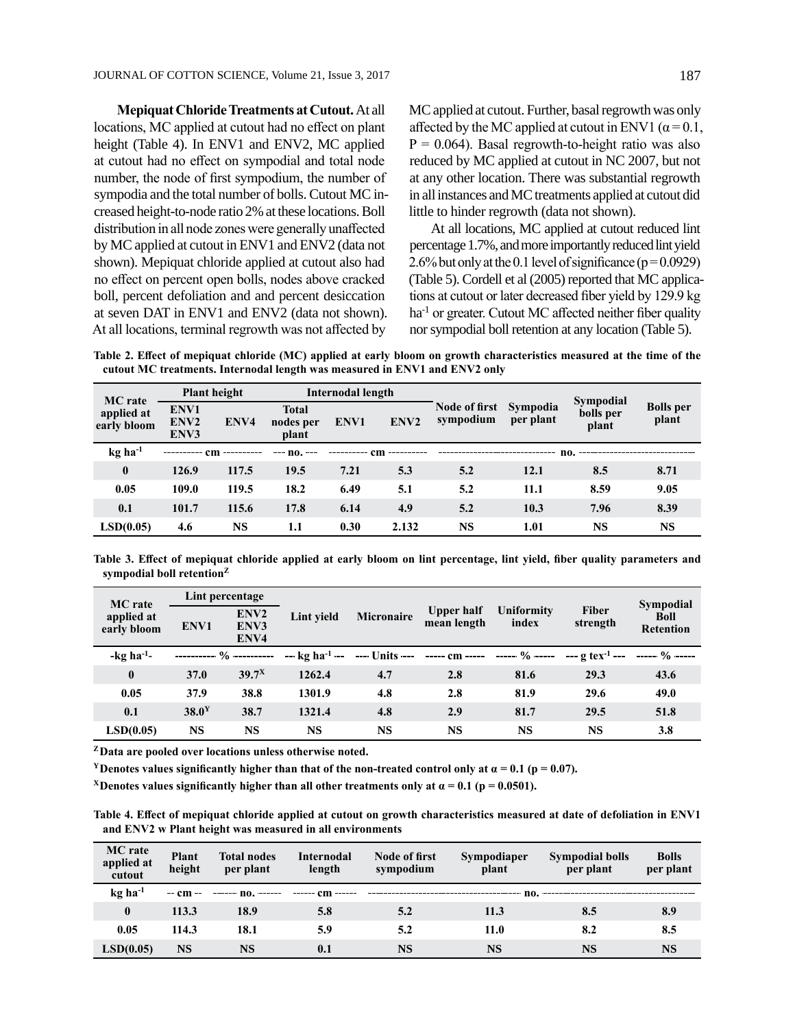**Mepiquat Chloride Treatments at Cutout.** At all locations, MC applied at cutout had no effect on plant height (Table 4). In ENV1 and ENV2, MC applied at cutout had no effect on sympodial and total node number, the node of first sympodium, the number of sympodia and the total number of bolls. Cutout MC increased height-to-node ratio 2% at these locations. Boll distribution in all node zones were generally unaffected by MC applied at cutout in ENV1 and ENV2 (data not shown). Mepiquat chloride applied at cutout also had no effect on percent open bolls, nodes above cracked boll, percent defoliation and and percent desiccation at seven DAT in ENV1 and ENV2 (data not shown). At all locations, terminal regrowth was not affected by

MC applied at cutout. Further, basal regrowth was only affected by the MC applied at cutout in ENV1 ( $\alpha$  = 0.1,  $P = 0.064$ ). Basal regrowth-to-height ratio was also reduced by MC applied at cutout in NC 2007, but not at any other location. There was substantial regrowth in all instances and MC treatments applied at cutout did little to hinder regrowth (data not shown).

At all locations, MC applied at cutout reduced lint percentage 1.7%, and more importantly reduced lint yield 2.6% but only at the 0.1 level of significance ( $p = 0.0929$ ) (Table 5). Cordell et al (2005) reported that MC applications at cutout or later decreased fiber yield by 129.9 kg ha<sup>-1</sup> or greater. Cutout MC affected neither fiber quality nor sympodial boll retention at any location (Table 5).

**Table 2. Effect of mepiquat chloride (MC) applied at early bloom on growth characteristics measured at the time of the cutout MC treatments. Internodal length was measured in ENV1 and ENV2 only**

| <b>MC</b> rate<br>applied at<br>early bloom | <b>Plant height</b>              |           | Internodal length                  |      |                  |                                   |                       | <b>Sympodial</b>   |                           |
|---------------------------------------------|----------------------------------|-----------|------------------------------------|------|------------------|-----------------------------------|-----------------------|--------------------|---------------------------|
|                                             | ENV1<br>ENV <sub>2</sub><br>ENV3 | ENV4      | <b>Total</b><br>nodes per<br>plant | ENV1 | ENV <sub>2</sub> | <b>Node of first</b><br>sympodium | Sympodia<br>per plant | bolls per<br>plant | <b>Bolls</b> per<br>plant |
| $kg$ ha <sup>-1</sup>                       |                                  | cm        | --- no.                            |      | cm               |                                   |                       | no.                |                           |
| $\bf{0}$                                    | 126.9                            | 117.5     | 19.5                               | 7.21 | 5.3              | 5.2                               | 12.1                  | 8.5                | 8.71                      |
| 0.05                                        | 109.0                            | 119.5     | 18.2                               | 6.49 | 5.1              | 5.2                               | 11.1                  | 8.59               | 9.05                      |
| 0.1                                         | 101.7                            | 115.6     | 17.8                               | 6.14 | 4.9              | 5.2                               | 10.3                  | 7.96               | 8.39                      |
| LSD(0.05)                                   | 4.6                              | <b>NS</b> | 1.1                                | 0.30 | 2.132            | <b>NS</b>                         | 1.01                  | <b>NS</b>          | <b>NS</b>                 |

**Table 3. Effect of mepiquat chloride applied at early bloom on lint percentage, lint yield, fiber quality parameters and sympodial boll retention<sup>Z</sup>**

| <b>MC</b> rate<br>applied at<br>early bloom | Lint percentage   |                                  |                             |                 |                                  |                     |                                      | <b>Sympodial</b>         |
|---------------------------------------------|-------------------|----------------------------------|-----------------------------|-----------------|----------------------------------|---------------------|--------------------------------------|--------------------------|
|                                             | ENV1              | ENV <sub>2</sub><br>ENV3<br>ENV4 | Lint vield                  | Micronaire      | <b>Upper half</b><br>mean length | Uniformity<br>index | <b>Fiber</b><br>strength             | Boll<br><b>Retention</b> |
| $-kg$ ha <sup>-1</sup> -                    |                   |                                  | $-$ kg ha <sup>-1</sup> $-$ | $--$ Units $--$ | $--- cm ---$                     | ------ % -----      | $-\frac{1}{2}$ tex <sup>-1</sup> --- | $--- 9/0$ $---$          |
| $\boldsymbol{0}$                            | 37.0              | 39.7 <sup>X</sup>                | 1262.4                      | 4.7             | 2.8                              | 81.6                | 29.3                                 | 43.6                     |
| 0.05                                        | 37.9              | 38.8                             | 1301.9                      | 4.8             | 2.8                              | 81.9                | 29.6                                 | 49.0                     |
| 0.1                                         | 38.0 <sup>Y</sup> | 38.7                             | 1321.4                      | 4.8             | 2.9                              | 81.7                | 29.5                                 | 51.8                     |
| LSD(0.05)                                   | NS                | <b>NS</b>                        | <b>NS</b>                   | <b>NS</b>       | <b>NS</b>                        | <b>NS</b>           | <b>NS</b>                            | 3.8                      |

**<sup>Z</sup>Data are pooled over locations unless otherwise noted.**

<sup>Y</sup>**Denotes values significantly higher than that of the non-treated control only at**  $\alpha = 0.1$  **(p = 0.07).** 

**X** Denotes values significantly higher than all other treatments only at  $\alpha = 0.1$  (p = 0.0501).

**Table 4. Effect of mepiquat chloride applied at cutout on growth characteristics measured at date of defoliation in ENV1 and ENV2 w Plant height was measured in all environments**

| <b>MC</b> rate<br>applied at<br>cutout | <b>Plant</b><br>height | <b>Total nodes</b><br>per plant | <b>Internodal</b><br>length | Node of first<br>sympodium | <b>Sympodiaper</b><br>plant | <b>Sympodial bolls</b><br>per plant | <b>Bolls</b><br>per plant |
|----------------------------------------|------------------------|---------------------------------|-----------------------------|----------------------------|-----------------------------|-------------------------------------|---------------------------|
| $kg$ ha <sup>-1</sup>                  | $-$ cm $-$             | $--- no.$                       | ------ cm<br>$- - - - - -$  |                            | no.                         |                                     |                           |
| $\bf{0}$                               | 113.3                  | 18.9                            | 5.8                         | 5.2                        | 11.3                        | 8.5                                 | 8.9                       |
| 0.05                                   | 114.3                  | 18.1                            | 5.9                         | 5.2                        | 11.0                        | 8.2                                 | 8.5                       |
| LSD(0.05)                              | <b>NS</b>              | <b>NS</b>                       | 0.1                         | <b>NS</b>                  | <b>NS</b>                   | <b>NS</b>                           | <b>NS</b>                 |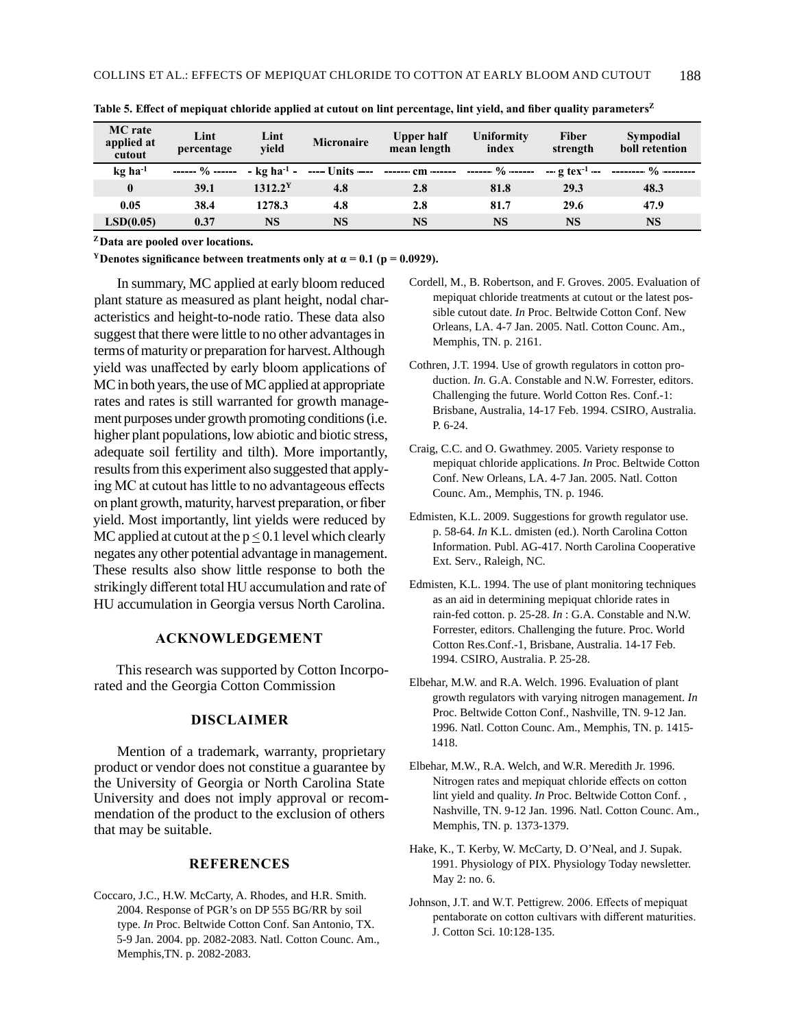| <b>MC</b> rate<br>applied at<br>cutout | Lint<br>percentage          | Lint<br>vield       | <b>Micronaire</b>                          | Upper half<br>mean length | Uniformity<br>index | Fiber<br>strength | Sympodial<br>boll retention                                                        |
|----------------------------------------|-----------------------------|---------------------|--------------------------------------------|---------------------------|---------------------|-------------------|------------------------------------------------------------------------------------|
| $kg$ ha <sup>-1</sup>                  | ------ $\frac{0}{0}$ ------ |                     | $-$ kg ha <sup>-1</sup> - ----- Units ---- |                           |                     |                   | ------- cm ------ ------- % ------ --- g tex <sup>-1</sup> -- --------- % -------- |
| $\bf{0}$                               | 39.1                        | 1312.2 <sup>Y</sup> | 4.8                                        | 2.8                       | 81.8                | 29.3              | 48.3                                                                               |
| 0.05                                   | 38.4                        | 1278.3              | 4.8                                        | 2.8                       | 81.7                | 29.6              | 47.9                                                                               |
| LSD(0.05)                              | 0.37                        | NS                  | <b>NS</b>                                  | <b>NS</b>                 | <b>NS</b>           | <b>NS</b>         | <b>NS</b>                                                                          |

**Table 5. Effect of mepiquat chloride applied at cutout on lint percentage, lint yield, and fiber quality parameters<sup>Z</sup>**

**<sup>Z</sup>Data are pooled over locations.**

<sup>Y</sup>**Denotes significance between treatments only at**  $\alpha$  **= 0.1 (p = 0.0929).** 

In summary, MC applied at early bloom reduced plant stature as measured as plant height, nodal characteristics and height-to-node ratio. These data also suggest that there were little to no other advantages in terms of maturity or preparation for harvest. Although yield was unaffected by early bloom applications of MC in both years, the use of MC applied at appropriate rates and rates is still warranted for growth management purposes under growth promoting conditions (i.e. higher plant populations, low abiotic and biotic stress, adequate soil fertility and tilth). More importantly, results from this experiment also suggested that applying MC at cutout has little to no advantageous effects on plant growth, maturity, harvest preparation, or fiber yield. Most importantly, lint yields were reduced by MC applied at cutout at the  $p < 0.1$  level which clearly negates any other potential advantage in management. These results also show little response to both the strikingly different total HU accumulation and rate of HU accumulation in Georgia versus North Carolina.

#### **ACKNOWLEDGEMENT**

This research was supported by Cotton Incorporated and the Georgia Cotton Commission

## **DISCLAIMER**

Mention of a trademark, warranty, proprietary product or vendor does not constitue a guarantee by the University of Georgia or North Carolina State University and does not imply approval or recommendation of the product to the exclusion of others that may be suitable.

## **REFERENCES**

Coccaro, J.C., H.W. McCarty, A. Rhodes, and H.R. Smith. 2004. Response of PGR's on DP 555 BG/RR by soil type. *In* Proc. Beltwide Cotton Conf. San Antonio, TX. 5-9 Jan. 2004. pp. 2082-2083. Natl. Cotton Counc. Am., Memphis,TN. p. 2082-2083.

- Cordell, M., B. Robertson, and F. Groves. 2005. Evaluation of mepiquat chloride treatments at cutout or the latest possible cutout date. *In* Proc. Beltwide Cotton Conf. New Orleans, LA. 4-7 Jan. 2005. Natl. Cotton Counc. Am., Memphis, TN. p. 2161.
- Cothren, J.T. 1994. Use of growth regulators in cotton production. *In.* G.A. Constable and N.W. Forrester, editors. Challenging the future. World Cotton Res. Conf.-1: Brisbane, Australia, 14-17 Feb. 1994. CSIRO, Australia. P. 6-24.
- Craig, C.C. and O. Gwathmey. 2005. Variety response to mepiquat chloride applications. *In* Proc. Beltwide Cotton Conf. New Orleans, LA. 4-7 Jan. 2005. Natl. Cotton Counc. Am., Memphis, TN. p. 1946.
- Edmisten, K.L. 2009. Suggestions for growth regulator use. p. 58-64. *In* K.L. dmisten (ed.). North Carolina Cotton Information. Publ. AG-417. North Carolina Cooperative Ext. Serv., Raleigh, NC.
- Edmisten, K.L. 1994. The use of plant monitoring techniques as an aid in determining mepiquat chloride rates in rain-fed cotton. p. 25-28. *In* : G.A. Constable and N.W. Forrester, editors. Challenging the future. Proc. World Cotton Res.Conf.-1, Brisbane, Australia. 14-17 Feb. 1994. CSIRO, Australia. P. 25-28.
- Elbehar, M.W. and R.A. Welch. 1996. Evaluation of plant growth regulators with varying nitrogen management. *In*  Proc. Beltwide Cotton Conf., Nashville, TN. 9-12 Jan. 1996. Natl. Cotton Counc. Am., Memphis, TN. p. 1415- 1418.
- Elbehar, M.W., R.A. Welch, and W.R. Meredith Jr. 1996. Nitrogen rates and mepiquat chloride effects on cotton lint yield and quality. *In* Proc. Beltwide Cotton Conf. , Nashville, TN. 9-12 Jan. 1996. Natl. Cotton Counc. Am., Memphis, TN. p. 1373-1379.
- Hake, K., T. Kerby, W. McCarty, D. O'Neal, and J. Supak. 1991. Physiology of PIX. Physiology Today newsletter. May 2: no. 6.
- Johnson, J.T. and W.T. Pettigrew. 2006. Effects of mepiquat pentaborate on cotton cultivars with different maturities. J. Cotton Sci. 10:128-135.